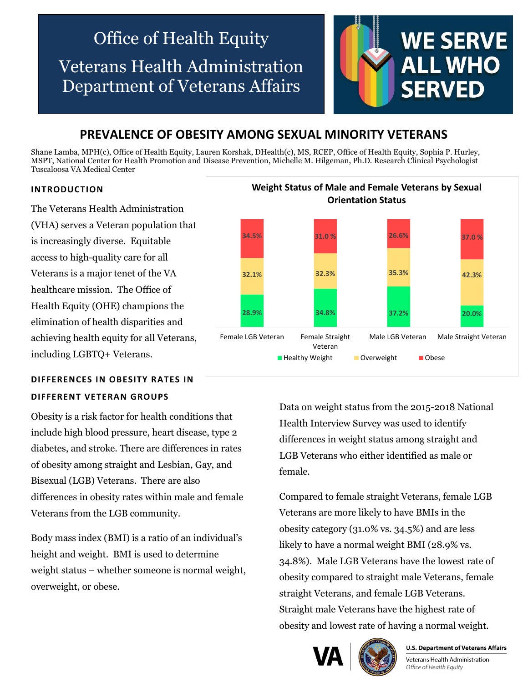# Office of Health Equity Veterans Health Administration Department of Veterans Affairs



## **PREVALENCE OF OBESITY AMONG SEXUAL MINORITY VETERANS**

Shane Lamba, MPH(c), Office of Health Equity, Lauren Korshak, DHealth(c), MS, RCEP, Office of Health Equity, Sophia P. Hurley, MSPT, National Center for Health Promotion and Disease Prevention, Michelle M. Hilgeman, Ph.D. Research Clinical Psychologist Tuscaloosa VA Medical Center

### **INTRODUCTION**

The Veterans Health Administration (VHA) serves a Veteran population that is increasingly diverse. Equitable access to high-quality care for all Veterans is a major tenet of the VA healthcare mission. The Office of Health Equity (OHE) champions the elimination of health disparities and achieving health equity for all Veterans, including LGBTQ+ Veterans.

## **DIFFERENCES IN OBESITY RATES IN DIFFERENT VETERAN GROUPS**

Obesity is a risk factor for health conditions that include high blood pressure, heart disease, type 2 diabetes, and stroke. There are differences in rates of obesity among straight and Lesbian, Gay, and Bisexual (LGB) Veterans. There are also differences in obesity rates within male and female Veterans from the LGB community.

Body mass index (BMI) is a ratio of an individual's height and weight. BMI is used to determine weight status – whether someone is normal weight, overweight, or obese.



Data on weight status from the 2015-2018 National Health Interview Survey was used to identify differences in weight status among straight and LGB Veterans who either identified as male or female.

Compared to female straight Veterans, female LGB Veterans are more likely to have BMIs in the obesity category (31.0% vs. 34.5%) and are less likely to have a normal weight BMI (28.9% vs. 34.8%). Male LGB Veterans have the lowest rate of obesity compared to straight male Veterans, female straight Veterans, and female LGB Veterans. Straight male Veterans have the highest rate of obesity and lowest rate of having a normal weight.





**U.S. Department of Veterans Affairs** 

Veterans Health Administration Office of Health Equity